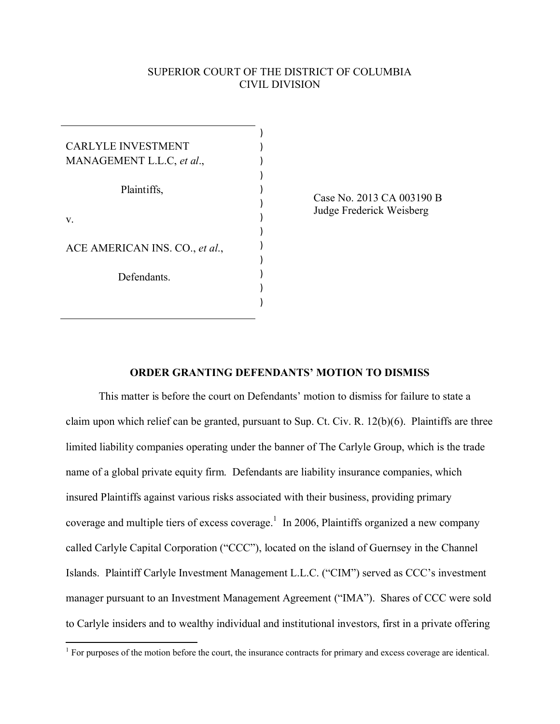## SUPERIOR COURT OF THE DISTRICT OF COLUMBIA CIVIL DIVISION

| <b>CARLYLE INVESTMENT</b>      |  |
|--------------------------------|--|
| MANAGEMENT L.L.C, et al.,      |  |
|                                |  |
| Plaintiffs,                    |  |
|                                |  |
| V.                             |  |
|                                |  |
| ACE AMERICAN INS. CO., et al., |  |
|                                |  |
| Defendants.                    |  |
|                                |  |
|                                |  |

Case No. 2013 CA 003190 B Judge Frederick Weisberg

## **ORDER GRANTING DEFENDANTS' MOTION TO DISMISS**

This matter is before the court on Defendants' motion to dismiss for failure to state a claim upon which relief can be granted, pursuant to Sup. Ct. Civ. R. 12(b)(6). Plaintiffs are three limited liability companies operating under the banner of The Carlyle Group, which is the trade name of a global private equity firm. Defendants are liability insurance companies, which insured Plaintiffs against various risks associated with their business, providing primary coverage and multiple tiers of excess coverage.<sup>[1](#page-0-0)</sup> In 2006, Plaintiffs organized a new company called Carlyle Capital Corporation ("CCC"), located on the island of Guernsey in the Channel Islands. Plaintiff Carlyle Investment Management L.L.C. ("CIM") served as CCC's investment manager pursuant to an Investment Management Agreement ("IMA"). Shares of CCC were sold to Carlyle insiders and to wealthy individual and institutional investors, first in a private offering

<span id="page-0-0"></span> 1 For purposes of the motion before the court, the insurance contracts for primary and excess coverage are identical.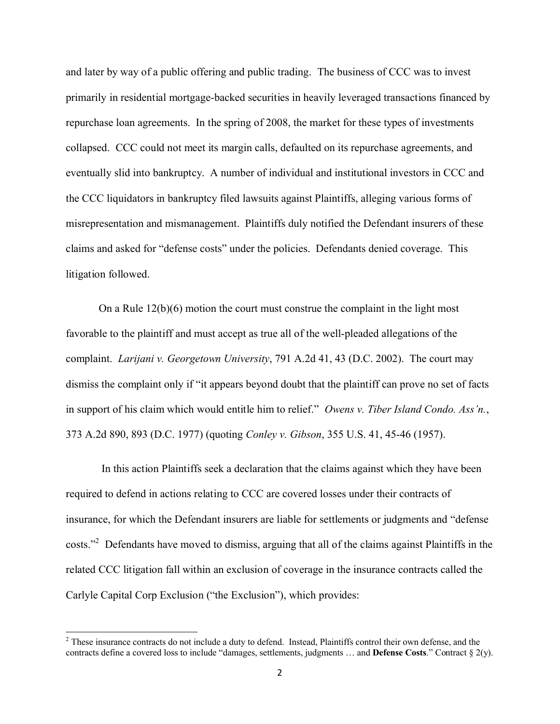and later by way of a public offering and public trading. The business of CCC was to invest primarily in residential mortgage-backed securities in heavily leveraged transactions financed by repurchase loan agreements. In the spring of 2008, the market for these types of investments collapsed. CCC could not meet its margin calls, defaulted on its repurchase agreements, and eventually slid into bankruptcy. A number of individual and institutional investors in CCC and the CCC liquidators in bankruptcy filed lawsuits against Plaintiffs, alleging various forms of misrepresentation and mismanagement. Plaintiffs duly notified the Defendant insurers of these claims and asked for "defense costs" under the policies. Defendants denied coverage. This litigation followed.

On a Rule 12(b)(6) motion the court must construe the complaint in the light most favorable to the plaintiff and must accept as true all of the well-pleaded allegations of the complaint. *Larijani v. Georgetown University*, 791 A.2d 41, 43 (D.C. 2002). The court may dismiss the complaint only if "it appears beyond doubt that the plaintiff can prove no set of facts in support of his claim which would entitle him to relief." *Owens v. Tiber Island Condo. Ass'n.*, 373 A.2d 890, 893 (D.C. 1977) (quoting *Conley v. Gibson*, 355 U.S. 41, 45-46 (1957).

In this action Plaintiffs seek a declaration that the claims against which they have been required to defend in actions relating to CCC are covered losses under their contracts of insurance, for which the Defendant insurers are liable for settlements or judgments and "defense costs."<sup>[2](#page-1-0)</sup> Defendants have moved to dismiss, arguing that all of the claims against Plaintiffs in the related CCC litigation fall within an exclusion of coverage in the insurance contracts called the Carlyle Capital Corp Exclusion ("the Exclusion"), which provides:

<span id="page-1-0"></span><sup>&</sup>lt;sup>2</sup> These insurance contracts do not include a duty to defend. Instead, Plaintiffs control their own defense, and the contracts define a covered loss to include "damages, settlements, judgments … and **Defense Costs**." Contract § 2(y).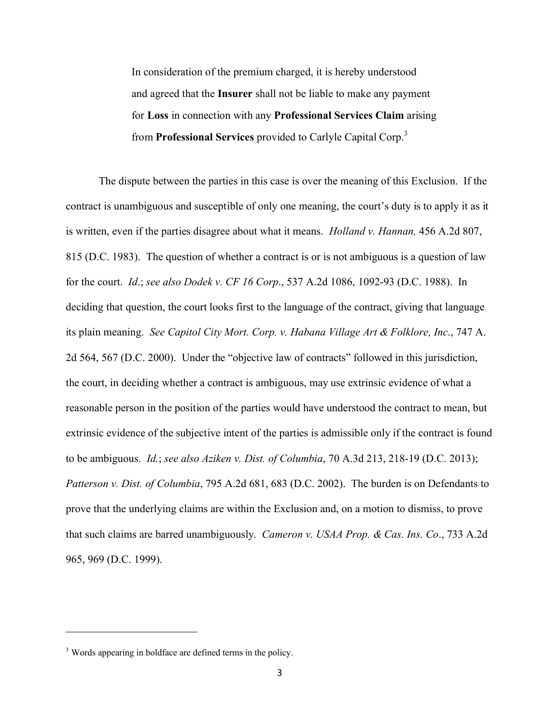In consideration of the premium charged, it is hereby understood and agreed that the **Insurer** shall not be liable to make any payment for **Loss** in connection with any **Professional Services Claim** arising from **Professional Services** provided to Carlyle Capital Corp.[3](#page-2-0)

The dispute between the parties in this case is over the meaning of this Exclusion. If the contract is unambiguous and susceptible of only one meaning, the court's duty is to apply it as it is written, even if the parties disagree about what it means. *Holland v. Hannan,* 456 A.2d 807, 815 (D.C. 1983). The question of whether a contract is or is not ambiguous is a question of law for the court. *Id*.; *see also Dodek v. CF 16 Corp*., 537 A.2d 1086, 1092-93 (D.C. 1988). In deciding that question, the court looks first to the language of the contract, giving that language its plain meaning. *See Capitol City Mort. Corp. v. Habana Village Art & Folklore, Inc*., 747 A. 2d 564, 567 (D.C. 2000). Under the "objective law of contracts" followed in this jurisdiction, the court, in deciding whether a contract is ambiguous, may use extrinsic evidence of what a reasonable person in the position of the parties would have understood the contract to mean, but extrinsic evidence of the subjective intent of the parties is admissible only if the contract is found to be ambiguous. *Id.*; *see also Aziken v. Dist. of Columbia*, 70 A.3d 213, 218-19 (D.C. 2013); *Patterson v. Dist. of Columbia*, 795 A.2d 681, 683 (D.C. 2002). The burden is on Defendants to prove that the underlying claims are within the Exclusion and, on a motion to dismiss, to prove that such claims are barred unambiguously. *Cameron v. USAA Prop. & Cas. Ins. Co*., 733 A.2d 965, 969 (D.C. 1999).

<span id="page-2-0"></span><sup>&</sup>lt;sup>3</sup> Words appearing in boldface are defined terms in the policy.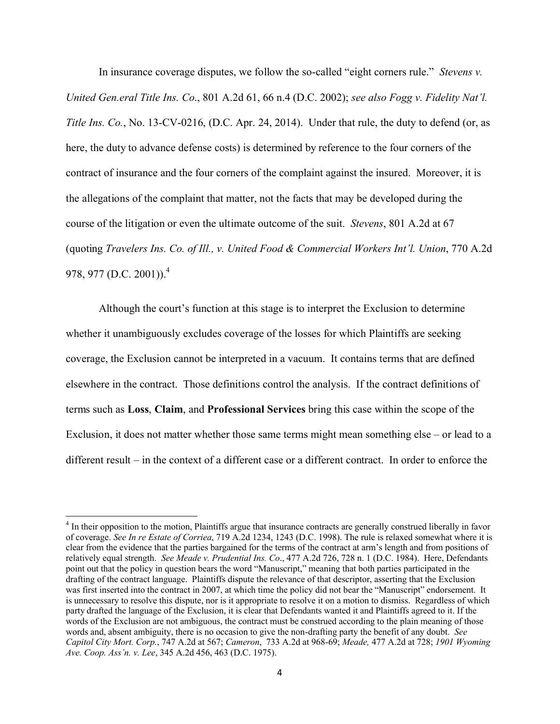In insurance coverage disputes, we follow the so-called "eight corners rule." *Stevens v. United Gen.eral Title Ins. Co*., 801 A.2d 61, 66 n.4 (D.C. 2002); *see also Fogg v. Fidelity Nat'l. Title Ins. Co.*, No. 13-CV-0216, (D.C. Apr. 24, 2014). Under that rule, the duty to defend (or, as here, the duty to advance defense costs) is determined by reference to the four corners of the contract of insurance and the four corners of the complaint against the insured. Moreover, it is the allegations of the complaint that matter, not the facts that may be developed during the course of the litigation or even the ultimate outcome of the suit. *Stevens*, 801 A.2d at 67 (quoting *Travelers Ins. Co. of Ill., v. United Food & Commercial Workers Int'l. Union*, 770 A.2d 978, 977 (D.C. 2001)).<sup>[4](#page-3-0)</sup>

Although the court's function at this stage is to interpret the Exclusion to determine whether it unambiguously excludes coverage of the losses for which Plaintiffs are seeking coverage, the Exclusion cannot be interpreted in a vacuum. It contains terms that are defined elsewhere in the contract. Those definitions control the analysis. If the contract definitions of terms such as **Loss**, **Claim**, and **Professional Services** bring this case within the scope of the Exclusion, it does not matter whether those same terms might mean something else – or lead to a different result – in the context of a different case or a different contract. In order to enforce the

 $\overline{\phantom{a}}$ 

<span id="page-3-0"></span><sup>&</sup>lt;sup>4</sup> In their opposition to the motion, Plaintiffs argue that insurance contracts are generally construed liberally in favor of coverage. *See In re Estate of Corriea*, 719 A.2d 1234, 1243 (D.C. 1998). The rule is relaxed somewhat where it is clear from the evidence that the parties bargained for the terms of the contract at arm's length and from positions of relatively equal strength. *See Meade v. Prudential Ins. Co*., 477 A.2d 726, 728 n. 1 (D.C. 1984). Here, Defendants point out that the policy in question bears the word "Manuscript," meaning that both parties participated in the drafting of the contract language. Plaintiffs dispute the relevance of that descriptor, asserting that the Exclusion was first inserted into the contract in 2007, at which time the policy did not bear the "Manuscript" endorsement. It is unnecessary to resolve this dispute, nor is it appropriate to resolve it on a motion to dismiss. Regardless of which party drafted the language of the Exclusion, it is clear that Defendants wanted it and Plaintiffs agreed to it. If the words of the Exclusion are not ambiguous, the contract must be construed according to the plain meaning of those words and, absent ambiguity, there is no occasion to give the non-drafting party the benefit of any doubt. *See Capitol City Mort. Corp.*, 747 A.2d at 567; *Cameron*, 733 A.2d at 968-69; *Meade,* 477 A.2d at 728; *1901 Wyoming Ave. Coop. Ass'n. v. Lee*, 345 A.2d 456, 463 (D.C. 1975).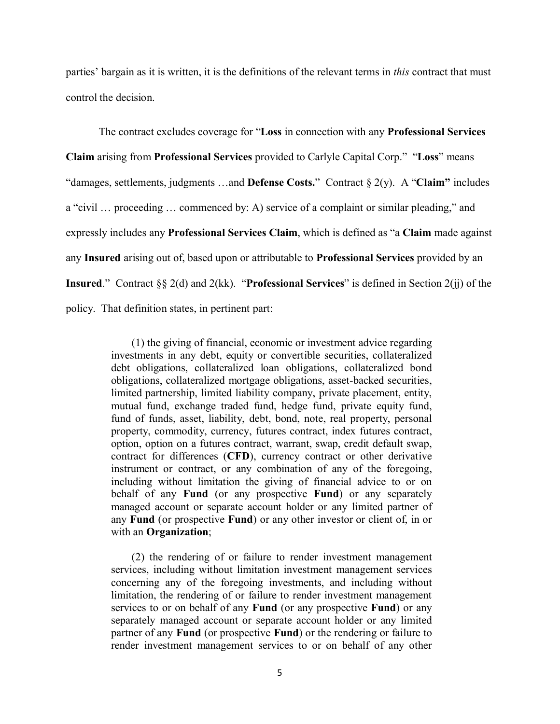parties' bargain as it is written, it is the definitions of the relevant terms in *this* contract that must control the decision.

The contract excludes coverage for "**Loss** in connection with any **Professional Services Claim** arising from **Professional Services** provided to Carlyle Capital Corp." "**Loss**" means "damages, settlements, judgments …and **Defense Costs.**" Contract § 2(y). A "**Claim"** includes a "civil … proceeding … commenced by: A) service of a complaint or similar pleading," and expressly includes any **Professional Services Claim**, which is defined as "a **Claim** made against any **Insured** arising out of, based upon or attributable to **Professional Services** provided by an **Insured**." Contract §§ 2(d) and 2(kk). "**Professional Services**" is defined in Section 2(jj) of the policy. That definition states, in pertinent part:

> (1) the giving of financial, economic or investment advice regarding investments in any debt, equity or convertible securities, collateralized debt obligations, collateralized loan obligations, collateralized bond obligations, collateralized mortgage obligations, asset-backed securities, limited partnership, limited liability company, private placement, entity, mutual fund, exchange traded fund, hedge fund, private equity fund, fund of funds, asset, liability, debt, bond, note, real property, personal property, commodity, currency, futures contract, index futures contract, option, option on a futures contract, warrant, swap, credit default swap, contract for differences (**CFD**), currency contract or other derivative instrument or contract, or any combination of any of the foregoing, including without limitation the giving of financial advice to or on behalf of any **Fund** (or any prospective **Fund**) or any separately managed account or separate account holder or any limited partner of any **Fund** (or prospective **Fund**) or any other investor or client of, in or with an **Organization**;

> (2) the rendering of or failure to render investment management services, including without limitation investment management services concerning any of the foregoing investments, and including without limitation, the rendering of or failure to render investment management services to or on behalf of any **Fund** (or any prospective **Fund**) or any separately managed account or separate account holder or any limited partner of any **Fund** (or prospective **Fund**) or the rendering or failure to render investment management services to or on behalf of any other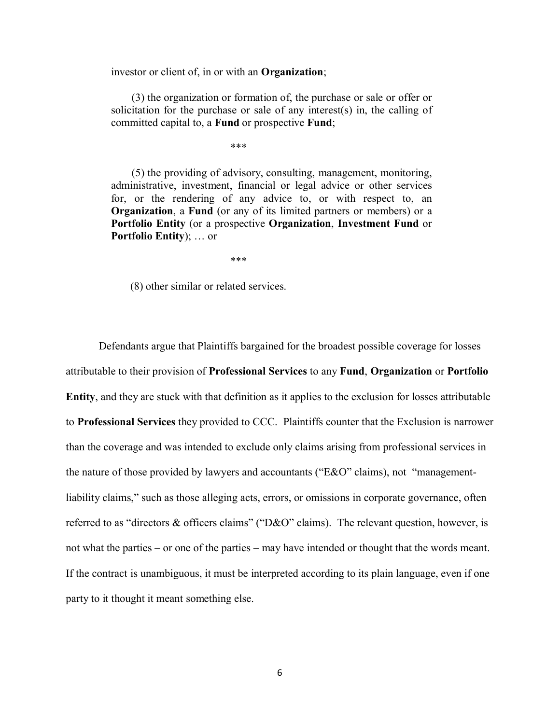investor or client of, in or with an **Organization**;

(3) the organization or formation of, the purchase or sale or offer or solicitation for the purchase or sale of any interest(s) in, the calling of committed capital to, a **Fund** or prospective **Fund**;

\*\*\*

(5) the providing of advisory, consulting, management, monitoring, administrative, investment, financial or legal advice or other services for, or the rendering of any advice to, or with respect to, an **Organization**, a **Fund** (or any of its limited partners or members) or a **Portfolio Entity** (or a prospective **Organization**, **Investment Fund** or **Portfolio Entity**); … or

\*\*\*

(8) other similar or related services.

Defendants argue that Plaintiffs bargained for the broadest possible coverage for losses attributable to their provision of **Professional Services** to any **Fund**, **Organization** or **Portfolio Entity**, and they are stuck with that definition as it applies to the exclusion for losses attributable to **Professional Services** they provided to CCC. Plaintiffs counter that the Exclusion is narrower than the coverage and was intended to exclude only claims arising from professional services in the nature of those provided by lawyers and accountants ("E&O" claims), not "managementliability claims," such as those alleging acts, errors, or omissions in corporate governance, often referred to as "directors & officers claims" ("D&O" claims). The relevant question, however, is not what the parties – or one of the parties – may have intended or thought that the words meant. If the contract is unambiguous, it must be interpreted according to its plain language, even if one party to it thought it meant something else.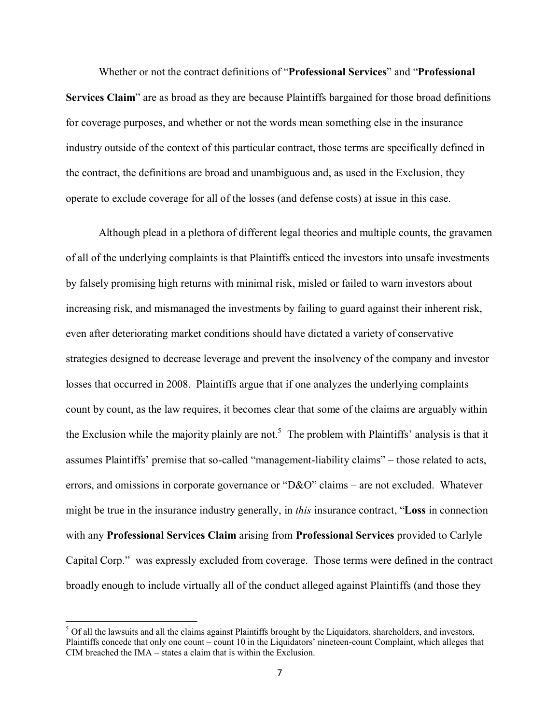Whether or not the contract definitions of "**Professional Services**" and "**Professional Services Claim**" are as broad as they are because Plaintiffs bargained for those broad definitions for coverage purposes, and whether or not the words mean something else in the insurance industry outside of the context of this particular contract, those terms are specifically defined in the contract, the definitions are broad and unambiguous and, as used in the Exclusion, they operate to exclude coverage for all of the losses (and defense costs) at issue in this case.

Although plead in a plethora of different legal theories and multiple counts, the gravamen of all of the underlying complaints is that Plaintiffs enticed the investors into unsafe investments by falsely promising high returns with minimal risk, misled or failed to warn investors about increasing risk, and mismanaged the investments by failing to guard against their inherent risk, even after deteriorating market conditions should have dictated a variety of conservative strategies designed to decrease leverage and prevent the insolvency of the company and investor losses that occurred in 2008. Plaintiffs argue that if one analyzes the underlying complaints count by count, as the law requires, it becomes clear that some of the claims are arguably within the Exclusion while the majority plainly are not.<sup>[5](#page-6-0)</sup> The problem with Plaintiffs' analysis is that it assumes Plaintiffs' premise that so-called "management-liability claims" – those related to acts, errors, and omissions in corporate governance or "D&O" claims – are not excluded. Whatever might be true in the insurance industry generally, in *this* insurance contract, "**Loss** in connection with any **Professional Services Claim** arising from **Professional Services** provided to Carlyle Capital Corp." was expressly excluded from coverage. Those terms were defined in the contract broadly enough to include virtually all of the conduct alleged against Plaintiffs (and those they

l

<span id="page-6-0"></span> $<sup>5</sup>$  Of all the lawsuits and all the claims against Plaintiffs brought by the Liquidators, shareholders, and investors,</sup> Plaintiffs concede that only one count – count 10 in the Liquidators' nineteen-count Complaint, which alleges that CIM breached the IMA – states a claim that is within the Exclusion.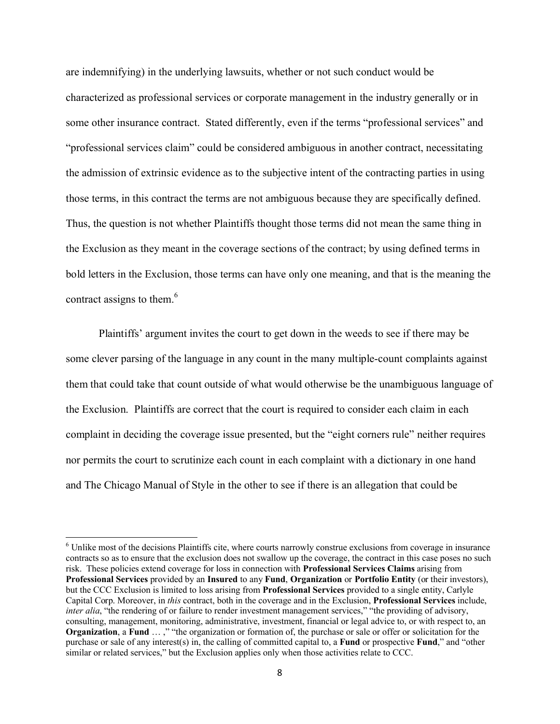are indemnifying) in the underlying lawsuits, whether or not such conduct would be characterized as professional services or corporate management in the industry generally or in some other insurance contract. Stated differently, even if the terms "professional services" and "professional services claim" could be considered ambiguous in another contract, necessitating the admission of extrinsic evidence as to the subjective intent of the contracting parties in using those terms, in this contract the terms are not ambiguous because they are specifically defined. Thus, the question is not whether Plaintiffs thought those terms did not mean the same thing in the Exclusion as they meant in the coverage sections of the contract; by using defined terms in bold letters in the Exclusion, those terms can have only one meaning, and that is the meaning the contract assigns to them.<sup>[6](#page-7-0)</sup>

Plaintiffs' argument invites the court to get down in the weeds to see if there may be some clever parsing of the language in any count in the many multiple-count complaints against them that could take that count outside of what would otherwise be the unambiguous language of the Exclusion. Plaintiffs are correct that the court is required to consider each claim in each complaint in deciding the coverage issue presented, but the "eight corners rule" neither requires nor permits the court to scrutinize each count in each complaint with a dictionary in one hand and The Chicago Manual of Style in the other to see if there is an allegation that could be

<span id="page-7-0"></span><sup>&</sup>lt;sup>6</sup> Unlike most of the decisions Plaintiffs cite, where courts narrowly construe exclusions from coverage in insurance contracts so as to ensure that the exclusion does not swallow up the coverage, the contract in this case poses no such risk. These policies extend coverage for loss in connection with **Professional Services Claims** arising from **Professional Services** provided by an **Insured** to any **Fund**, **Organization** or **Portfolio Entity** (or their investors), but the CCC Exclusion is limited to loss arising from **Professional Services** provided to a single entity, Carlyle Capital Corp. Moreover, in *this* contract, both in the coverage and in the Exclusion, **Professional Services** include, *inter alia*, "the rendering of or failure to render investment management services," "the providing of advisory, consulting, management, monitoring, administrative, investment, financial or legal advice to, or with respect to, an **Organization**, a **Fund** … ," "the organization or formation of, the purchase or sale or offer or solicitation for the purchase or sale of any interest(s) in, the calling of committed capital to, a **Fund** or prospective **Fund**," and "other similar or related services," but the Exclusion applies only when those activities relate to CCC.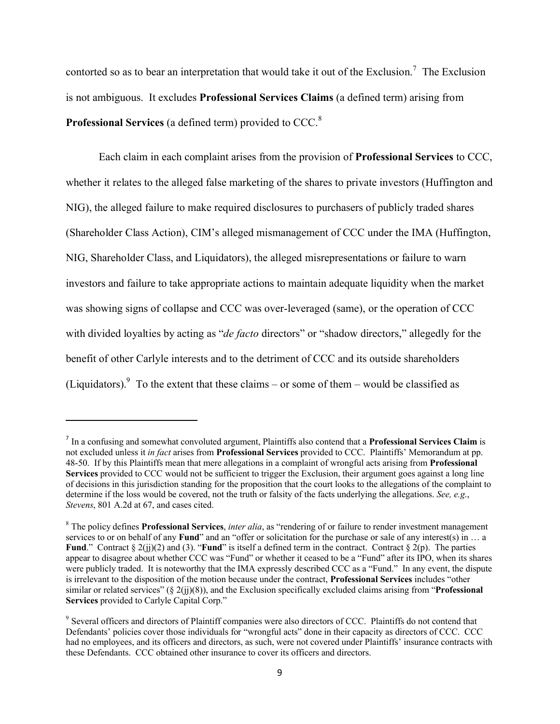contorted so as to bear an interpretation that would take it out of the Exclusion.<sup>[7](#page-8-0)</sup> The Exclusion is not ambiguous. It excludes **Professional Services Claims** (a defined term) arising from **Professional Services** (a defined term) provided to CCC.[8](#page-8-1)

Each claim in each complaint arises from the provision of **Professional Services** to CCC, whether it relates to the alleged false marketing of the shares to private investors (Huffington and NIG), the alleged failure to make required disclosures to purchasers of publicly traded shares (Shareholder Class Action), CIM's alleged mismanagement of CCC under the IMA (Huffington, NIG, Shareholder Class, and Liquidators), the alleged misrepresentations or failure to warn investors and failure to take appropriate actions to maintain adequate liquidity when the market was showing signs of collapse and CCC was over-leveraged (same), or the operation of CCC with divided loyalties by acting as "*de facto* directors" or "shadow directors," allegedly for the benefit of other Carlyle interests and to the detriment of CCC and its outside shareholders (Liquidators). <sup>[9](#page-8-2)</sup> To the extent that these claims – or some of them – would be classified as

<span id="page-8-0"></span><sup>7</sup> In a confusing and somewhat convoluted argument, Plaintiffs also contend that a **Professional Services Claim** is not excluded unless it *in fact* arises from **Professional Services** provided to CCC. Plaintiffs' Memorandum at pp. 48-50. If by this Plaintiffs mean that mere allegations in a complaint of wrongful acts arising from **Professional Services** provided to CCC would not be sufficient to trigger the Exclusion, their argument goes against a long line of decisions in this jurisdiction standing for the proposition that the court looks to the allegations of the complaint to determine if the loss would be covered, not the truth or falsity of the facts underlying the allegations. *See, e.g*., *Stevens*, 801 A.2d at 67, and cases cited.

<span id="page-8-1"></span><sup>8</sup> The policy defines **Professional Services**, *inter alia*, as "rendering of or failure to render investment management services to or on behalf of any **Fund**" and an "offer or solicitation for the purchase or sale of any interest(s) in ... a **Fund**." Contract  $\S 2(ii)(2)$  and (3). "**Fund**" is itself a defined term in the contract. Contract  $\S 2(p)$ . The parties appear to disagree about whether CCC was "Fund" or whether it ceased to be a "Fund" after its IPO, when its shares were publicly traded. It is noteworthy that the IMA expressly described CCC as a "Fund." In any event, the dispute is irrelevant to the disposition of the motion because under the contract, **Professional Services** includes "other similar or related services" (§ 2(jj)(8)), and the Exclusion specifically excluded claims arising from "**Professional Services** provided to Carlyle Capital Corp."

<span id="page-8-2"></span><sup>&</sup>lt;sup>9</sup> Several officers and directors of Plaintiff companies were also directors of CCC. Plaintiffs do not contend that Defendants' policies cover those individuals for "wrongful acts" done in their capacity as directors of CCC. CCC had no employees, and its officers and directors, as such, were not covered under Plaintiffs' insurance contracts with these Defendants. CCC obtained other insurance to cover its officers and directors.